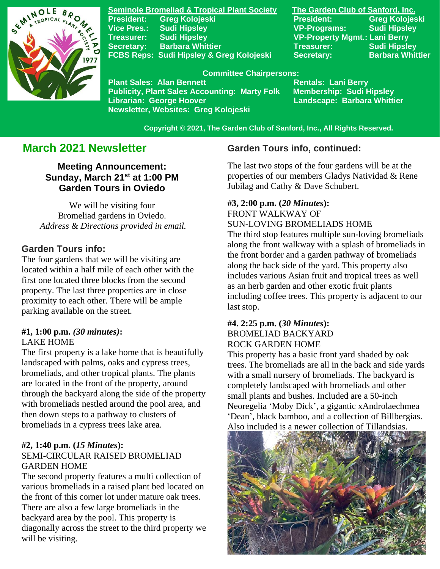

**Seminole Bromeliad & Tropical Plant Society The Garden Club of Sanford, Inc. President:** Greg Kolojeski **President:** Greg Kolojeski **Vice Pres.: Sudi Hipsley VP-Programs: Sudi Hipsley Treasurer: Sudi Hipsley VP-Property Mgmt.: Lani Berry Secretary:** Barbara Whittier **Network Treasurer:** Sudi Hipsley **FCBS Reps: Sudi Hipsley & Greg Kolojeski Secretary: Barbara Whittier** 

#### **Committee Chairpersons:**

Plant Sales: Alan Bennett<br>Publicity, Plant Sales Accounting: Marty Folk Membership: Sudi Hipsley **Publicity, Plant Sales Accounting: Marty Folk Librarian: George Hoover Landscape: Barbara Whittier Newsletter, Websites: Greg Kolojeski**

 **Copyright © 2021, The Garden Club of Sanford, Inc., All Rights Reserved.**

# **March 2021 Newsletter**

**Meeting Announcement: Sunday, March 21st at 1:00 PM Garden Tours in Oviedo**

We will be visiting four Bromeliad gardens in Oviedo. *Address & Directions provided in email.*

# **Garden Tours info:**

The four gardens that we will be visiting are located within a half mile of each other with the first one located three blocks from the second property. The last three properties are in close proximity to each other. There will be ample parking available on the street.

# **#1, 1:00 p.m.** *(30 minutes)***:**

#### LAKE HOME

The first property is a lake home that is beautifully landscaped with palms, oaks and cypress trees, bromeliads, and other tropical plants. The plants are located in the front of the property, around through the backyard along the side of the property with bromeliads nestled around the pool area, and then down steps to a pathway to clusters of bromeliads in a cypress trees lake area.

#### **#2, 1:40 p.m. (***15 Minutes***):** SEMI-CIRCULAR RAISED BROMELIAD GARDEN HOME

The second property features a multi collection of various bromeliads in a raised plant bed located on the front of this corner lot under mature oak trees. There are also a few large bromeliads in the backyard area by the pool. This property is diagonally across the street to the third property we will be visiting.

# **Garden Tours info, continued:**

The last two stops of the four gardens will be at the properties of our members Gladys Natividad & Rene Jubilag and Cathy & Dave Schubert.

#### **#3, 2:00 p.m. (***20 Minutes***):** FRONT WALKWAY OF SUN-LOVING BROMELIADS HOME

The third stop features multiple sun-loving bromeliads along the front walkway with a splash of bromeliads in the front border and a garden pathway of bromeliads along the back side of the yard. This property also includes various Asian fruit and tropical trees as well as an herb garden and other exotic fruit plants including coffee trees. This property is adjacent to our last stop.

#### **#4. 2:25 p.m. (***30 Minutes***):** BROMELIAD BACKYARD ROCK GARDEN HOME

This property has a basic front yard shaded by oak trees. The bromeliads are all in the back and side yards with a small nursery of bromeliads. The backyard is completely landscaped with bromeliads and other small plants and bushes. Included are a 50-inch Neoregelia 'Moby Dick', a gigantic xAndrolaechmea 'Dean', black bamboo, and a collection of Billbergias. Also included is a newer collection of Tillandsias.